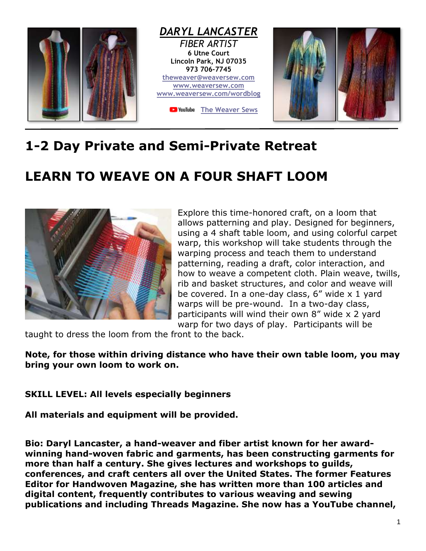

## **1-2 Day Private and Semi-Private Retreat**

## **LEARN TO WEAVE ON A FOUR SHAFT LOOM**



Explore this time-honored craft, on a loom that allows patterning and play. Designed for beginners, using a 4 shaft table loom, and using colorful carpet warp, this workshop will take students through the warping process and teach them to understand patterning, reading a draft, color interaction, and how to weave a competent cloth. Plain weave, twills, rib and basket structures, and color and weave will be covered. In a one-day class, 6" wide x 1 yard warps will be pre-wound. In a two-day class, participants will wind their own 8" wide x 2 yard warp for two days of play. Participants will be

taught to dress the loom from the front to the back.

**Note, for those within driving distance who have their own table loom, you may bring your own loom to work on.**

## **SKILL LEVEL: All levels especially beginners**

**All materials and equipment will be provided.**

**Bio: Daryl Lancaster, a hand-weaver and fiber artist known for her awardwinning hand-woven fabric and garments, has been constructing garments for more than half a century. She gives lectures and workshops to guilds, conferences, and craft centers all over the United States. The former Features Editor for Handwoven Magazine, she has written more than 100 articles and digital content, frequently contributes to various weaving and sewing publications and including Threads Magazine. She now has a YouTube channel,**